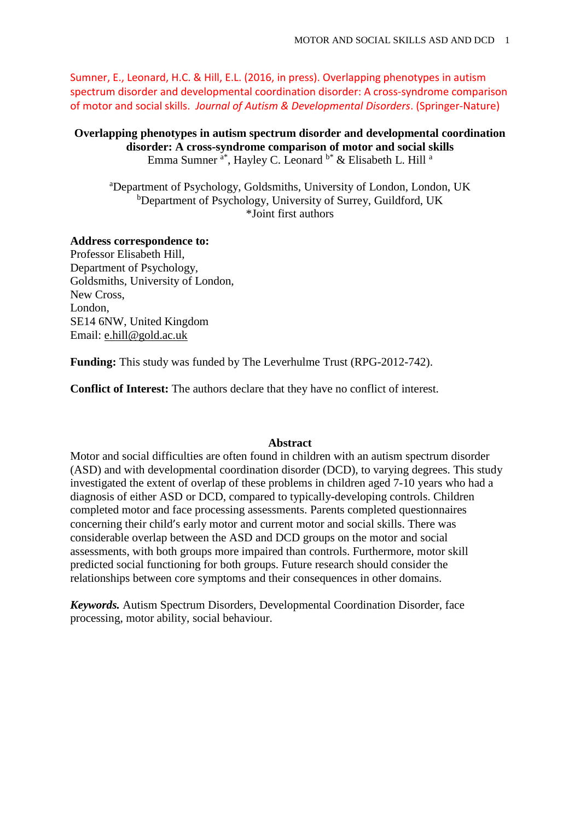Sumner, E., Leonard, H.C. & Hill, E.L. (2016, in press). Overlapping phenotypes in autism spectrum disorder and developmental coordination disorder: A cross-syndrome comparison of motor and social skills. *Journal of Autism & Developmental Disorders*. (Springer-Nature)

**Overlapping phenotypes in autism spectrum disorder and developmental coordination disorder: A cross-syndrome comparison of motor and social skills** Emma Sumner <sup>a\*</sup>, Hayley C. Leonard <sup>b\*</sup> & Elisabeth L. Hill <sup>a</sup>

<sup>a</sup>Department of Psychology, Goldsmiths, University of London, London, UK bDepartment of Psychology, University of Surrey, Guildford, UK \*Joint first authors

### **Address correspondence to:**

Professor Elisabeth Hill, Department of Psychology, Goldsmiths, University of London, New Cross, London, SE14 6NW, United Kingdom Email: [e.hill@gold.ac.uk](mailto:e.hill@gold.ac.uk)

**Funding:** This study was funded by The Leverhulme Trust (RPG-2012-742).

**Conflict of Interest:** The authors declare that they have no conflict of interest.

## **Abstract**

Motor and social difficulties are often found in children with an autism spectrum disorder (ASD) and with developmental coordination disorder (DCD), to varying degrees. This study investigated the extent of overlap of these problems in children aged 7-10 years who had a diagnosis of either ASD or DCD, compared to typically-developing controls. Children completed motor and face processing assessments. Parents completed questionnaires concerning their child's early motor and current motor and social skills. There was considerable overlap between the ASD and DCD groups on the motor and social assessments, with both groups more impaired than controls. Furthermore, motor skill predicted social functioning for both groups. Future research should consider the relationships between core symptoms and their consequences in other domains.

*Keywords.* Autism Spectrum Disorders, Developmental Coordination Disorder, face processing, motor ability, social behaviour.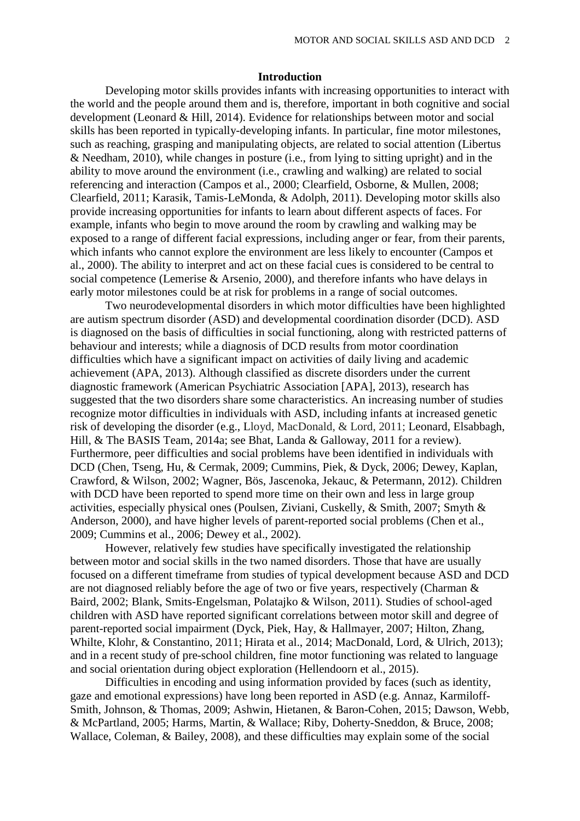### **Introduction**

Developing motor skills provides infants with increasing opportunities to interact with the world and the people around them and is, therefore, important in both cognitive and social development (Leonard & Hill, 2014). Evidence for relationships between motor and social skills has been reported in typically-developing infants. In particular, fine motor milestones, such as reaching, grasping and manipulating objects, are related to social attention (Libertus & Needham, 2010), while changes in posture (i.e., from lying to sitting upright) and in the ability to move around the environment (i.e., crawling and walking) are related to social referencing and interaction (Campos et al., 2000; Clearfield, Osborne, & Mullen, 2008; Clearfield, 2011; Karasik, Tamis-LeMonda, & Adolph, 2011). Developing motor skills also provide increasing opportunities for infants to learn about different aspects of faces. For example, infants who begin to move around the room by crawling and walking may be exposed to a range of different facial expressions, including anger or fear, from their parents, which infants who cannot explore the environment are less likely to encounter (Campos et al., 2000). The ability to interpret and act on these facial cues is considered to be central to social competence (Lemerise & Arsenio, 2000), and therefore infants who have delays in early motor milestones could be at risk for problems in a range of social outcomes.

Two neurodevelopmental disorders in which motor difficulties have been highlighted are autism spectrum disorder (ASD) and developmental coordination disorder (DCD). ASD is diagnosed on the basis of difficulties in social functioning, along with restricted patterns of behaviour and interests; while a diagnosis of DCD results from motor coordination difficulties which have a significant impact on activities of daily living and academic achievement (APA, 2013). Although classified as discrete disorders under the current diagnostic framework (American Psychiatric Association [APA], 2013), research has suggested that the two disorders share some characteristics. An increasing number of studies recognize motor difficulties in individuals with ASD, including infants at increased genetic risk of developing the disorder (e.g., Lloyd, MacDonald, & Lord, 2011; Leonard, Elsabbagh, Hill, & The BASIS Team, 2014a; see Bhat, Landa & Galloway, 2011 for a review). Furthermore, peer difficulties and social problems have been identified in individuals with DCD (Chen, Tseng, Hu, & Cermak, 2009; Cummins, Piek, & Dyck, 2006; Dewey, Kaplan, Crawford, & Wilson, 2002; Wagner, Bös, Jascenoka, Jekauc, & Petermann, 2012). Children with DCD have been reported to spend more time on their own and less in large group activities, especially physical ones (Poulsen, Ziviani, Cuskelly, & Smith, 2007; Smyth & Anderson, 2000), and have higher levels of parent-reported social problems (Chen et al., 2009; Cummins et al., 2006; Dewey et al., 2002).

However, relatively few studies have specifically investigated the relationship between motor and social skills in the two named disorders. Those that have are usually focused on a different timeframe from studies of typical development because ASD and DCD are not diagnosed reliably before the age of two or five years, respectively (Charman & Baird, 2002; Blank, Smits-Engelsman, Polatajko & Wilson, 2011). Studies of school-aged children with ASD have reported significant correlations between motor skill and degree of parent-reported social impairment (Dyck, Piek, Hay, & Hallmayer, 2007; Hilton, Zhang, Whilte, Klohr, & Constantino, 2011; Hirata et al., 2014; MacDonald, Lord, & Ulrich, 2013); and in a recent study of pre-school children, fine motor functioning was related to language and social orientation during object exploration (Hellendoorn et al., 2015).

Difficulties in encoding and using information provided by faces (such as identity, gaze and emotional expressions) have long been reported in ASD (e.g. Annaz, Karmiloff-Smith, Johnson, & Thomas, 2009; Ashwin, Hietanen, & Baron-Cohen, 2015; Dawson, Webb, & McPartland, 2005; Harms, Martin, & Wallace; Riby, Doherty-Sneddon, & Bruce, 2008; Wallace, Coleman, & Bailey, 2008), and these difficulties may explain some of the social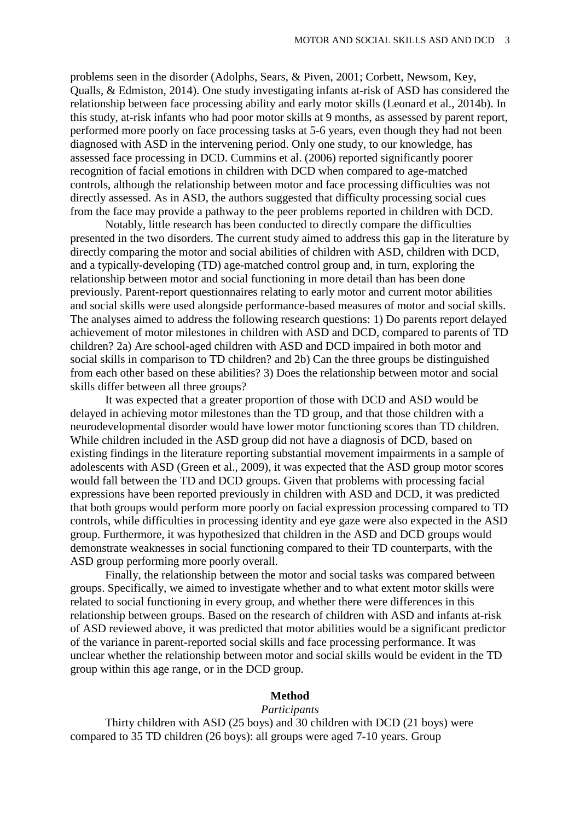problems seen in the disorder (Adolphs, Sears, & Piven, 2001; Corbett, Newsom, Key, Qualls, & Edmiston, 2014). One study investigating infants at-risk of ASD has considered the relationship between face processing ability and early motor skills (Leonard et al., 2014b). In this study, at-risk infants who had poor motor skills at 9 months, as assessed by parent report, performed more poorly on face processing tasks at 5-6 years, even though they had not been diagnosed with ASD in the intervening period. Only one study, to our knowledge, has assessed face processing in DCD. Cummins et al. (2006) reported significantly poorer recognition of facial emotions in children with DCD when compared to age-matched controls, although the relationship between motor and face processing difficulties was not directly assessed. As in ASD, the authors suggested that difficulty processing social cues from the face may provide a pathway to the peer problems reported in children with DCD.

Notably, little research has been conducted to directly compare the difficulties presented in the two disorders. The current study aimed to address this gap in the literature by directly comparing the motor and social abilities of children with ASD, children with DCD, and a typically-developing (TD) age-matched control group and, in turn, exploring the relationship between motor and social functioning in more detail than has been done previously. Parent-report questionnaires relating to early motor and current motor abilities and social skills were used alongside performance-based measures of motor and social skills. The analyses aimed to address the following research questions: 1) Do parents report delayed achievement of motor milestones in children with ASD and DCD, compared to parents of TD children? 2a) Are school-aged children with ASD and DCD impaired in both motor and social skills in comparison to TD children? and 2b) Can the three groups be distinguished from each other based on these abilities? 3) Does the relationship between motor and social skills differ between all three groups?

It was expected that a greater proportion of those with DCD and ASD would be delayed in achieving motor milestones than the TD group, and that those children with a neurodevelopmental disorder would have lower motor functioning scores than TD children. While children included in the ASD group did not have a diagnosis of DCD, based on existing findings in the literature reporting substantial movement impairments in a sample of adolescents with ASD (Green et al., 2009), it was expected that the ASD group motor scores would fall between the TD and DCD groups. Given that problems with processing facial expressions have been reported previously in children with ASD and DCD, it was predicted that both groups would perform more poorly on facial expression processing compared to TD controls, while difficulties in processing identity and eye gaze were also expected in the ASD group. Furthermore, it was hypothesized that children in the ASD and DCD groups would demonstrate weaknesses in social functioning compared to their TD counterparts, with the ASD group performing more poorly overall.

Finally, the relationship between the motor and social tasks was compared between groups. Specifically, we aimed to investigate whether and to what extent motor skills were related to social functioning in every group, and whether there were differences in this relationship between groups. Based on the research of children with ASD and infants at-risk of ASD reviewed above, it was predicted that motor abilities would be a significant predictor of the variance in parent-reported social skills and face processing performance. It was unclear whether the relationship between motor and social skills would be evident in the TD group within this age range, or in the DCD group.

### **Method**

#### *Participants*

Thirty children with ASD (25 boys) and 30 children with DCD (21 boys) were compared to 35 TD children (26 boys): all groups were aged 7-10 years. Group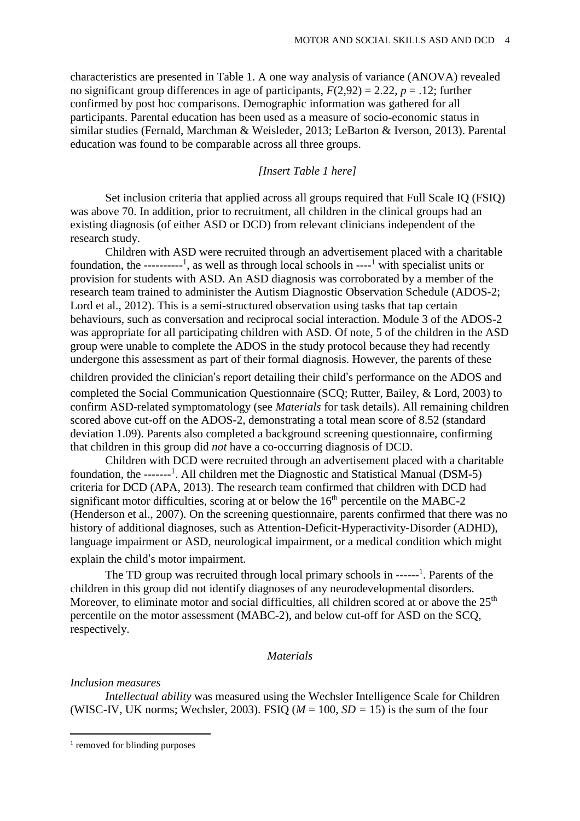characteristics are presented in Table 1. A one way analysis of variance (ANOVA) revealed no significant group differences in age of participants,  $F(2,92) = 2.22$ ,  $p = .12$ ; further confirmed by post hoc comparisons. Demographic information was gathered for all participants. Parental education has been used as a measure of socio-economic status in similar studies (Fernald, Marchman & Weisleder, 2013; LeBarton & Iverson, 2013). Parental education was found to be comparable across all three groups.

## *[Insert Table 1 here]*

Set inclusion criteria that applied across all groups required that Full Scale IQ (FSIQ) was above 70. In addition, prior to recruitment, all children in the clinical groups had an existing diagnosis (of either ASD or DCD) from relevant clinicians independent of the research study.

Children with ASD were recruited through an advertisement placed with a charitable foundation, the ----------<sup>1</sup>, as well as through local schools in ----<sup>1</sup> with specialist units or provision for students with ASD. An ASD diagnosis was corroborated by a member of the research team trained to administer the Autism Diagnostic Observation Schedule (ADOS-2; Lord et al., 2012). This is a semi-structured observation using tasks that tap certain behaviours, such as conversation and reciprocal social interaction. Module 3 of the ADOS-2 was appropriate for all participating children with ASD. Of note, 5 of the children in the ASD group were unable to complete the ADOS in the study protocol because they had recently undergone this assessment as part of their formal diagnosis. However, the parents of these

children provided the clinician's report detailing their child's performance on the ADOS and completed the Social Communication Questionnaire (SCQ; Rutter, Bailey, & Lord, 2003) to confirm ASD-related symptomatology (see *Materials* for task details). All remaining children scored above cut-off on the ADOS-2, demonstrating a total mean score of 8.52 (standard deviation 1.09). Parents also completed a background screening questionnaire, confirming that children in this group did *not* have a co-occurring diagnosis of DCD.

Children with DCD were recruited through an advertisement placed with a charitable foundation, the -------<sup>1</sup>. All children met the Diagnostic and Statistical Manual (DSM-5) criteria for DCD (APA, 2013). The research team confirmed that children with DCD had significant motor difficulties, scoring at or below the  $16<sup>th</sup>$  percentile on the MABC-2 (Henderson et al., 2007). On the screening questionnaire, parents confirmed that there was no history of additional diagnoses, such as Attention-Deficit-Hyperactivity-Disorder (ADHD), language impairment or ASD, neurological impairment, or a medical condition which might explain the child's motor impairment.

The TD group was recruited through local primary schools in ------<sup>1</sup>. Parents of the children in this group did not identify diagnoses of any neurodevelopmental disorders. Moreover, to eliminate motor and social difficulties, all children scored at or above the  $25<sup>th</sup>$ percentile on the motor assessment (MABC-2), and below cut-off for ASD on the SCQ, respectively.

## *Materials*

*Inclusion measures*

*Intellectual ability* was measured using the Wechsler Intelligence Scale for Children (WISC-IV, UK norms; Wechsler, 2003). FSIQ ( $M = 100$ ,  $SD = 15$ ) is the sum of the four

<sup>&</sup>lt;sup>1</sup> removed for blinding purposes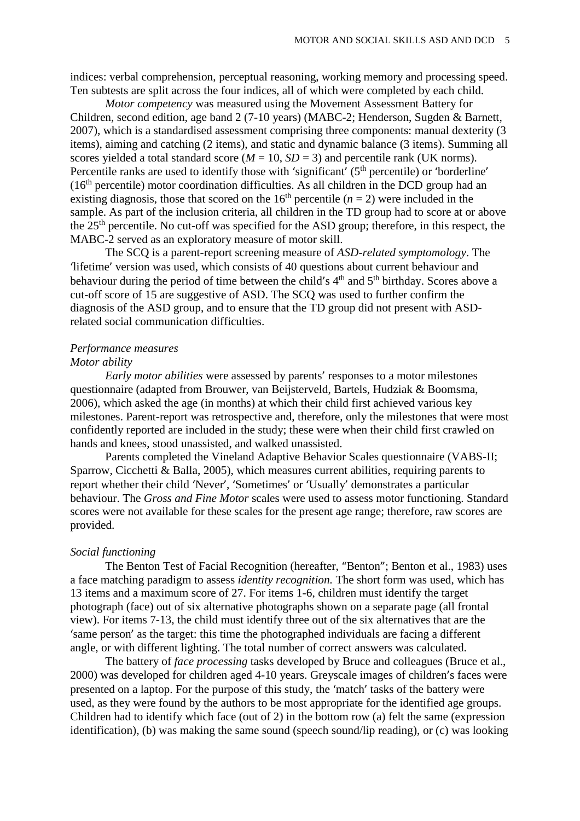indices: verbal comprehension, perceptual reasoning, working memory and processing speed. Ten subtests are split across the four indices, all of which were completed by each child.

*Motor competency* was measured using the Movement Assessment Battery for Children, second edition, age band 2 (7-10 years) (MABC-2; Henderson, Sugden & Barnett, 2007), which is a standardised assessment comprising three components: manual dexterity (3 items), aiming and catching (2 items), and static and dynamic balance (3 items). Summing all scores yielded a total standard score  $(M = 10, SD = 3)$  and percentile rank (UK norms). Percentile ranks are used to identify those with 'significant' (5<sup>th</sup> percentile) or 'borderline'  $(16<sup>th</sup> percentile)$  motor coordination difficulties. As all children in the DCD group had an existing diagnosis, those that scored on the 16<sup>th</sup> percentile ( $n = 2$ ) were included in the sample. As part of the inclusion criteria, all children in the TD group had to score at or above the 25th percentile. No cut-off was specified for the ASD group; therefore, in this respect, the MABC-2 served as an exploratory measure of motor skill.

The SCQ is a parent-report screening measure of *ASD-related symptomology*. The 'lifetime' version was used, which consists of 40 questions about current behaviour and behaviour during the period of time between the child's  $4<sup>th</sup>$  and  $5<sup>th</sup>$  birthday. Scores above a cut-off score of 15 are suggestive of ASD. The SCQ was used to further confirm the diagnosis of the ASD group, and to ensure that the TD group did not present with ASDrelated social communication difficulties.

# *Performance measures*

## *Motor ability*

*Early motor abilities* were assessed by parents' responses to a motor milestones questionnaire (adapted from Brouwer, van Beijsterveld, Bartels, Hudziak & Boomsma, 2006), which asked the age (in months) at which their child first achieved various key milestones. Parent-report was retrospective and, therefore, only the milestones that were most confidently reported are included in the study; these were when their child first crawled on hands and knees, stood unassisted, and walked unassisted.

Parents completed the Vineland Adaptive Behavior Scales questionnaire (VABS-II; Sparrow, Cicchetti & Balla, 2005), which measures current abilities, requiring parents to report whether their child 'Never', 'Sometimes' or 'Usually' demonstrates a particular behaviour. The *Gross and Fine Motor* scales were used to assess motor functioning. Standard scores were not available for these scales for the present age range; therefore, raw scores are provided.

## *Social functioning*

The Benton Test of Facial Recognition (hereafter, "Benton"; Benton et al., 1983) uses a face matching paradigm to assess *identity recognition.* The short form was used, which has 13 items and a maximum score of 27. For items 1-6, children must identify the target photograph (face) out of six alternative photographs shown on a separate page (all frontal view). For items 7-13, the child must identify three out of the six alternatives that are the 'same person' as the target: this time the photographed individuals are facing a different angle, or with different lighting. The total number of correct answers was calculated.

The battery of *face processing* tasks developed by Bruce and colleagues (Bruce et al., 2000) was developed for children aged 4-10 years. Greyscale images of children's faces were presented on a laptop. For the purpose of this study, the 'match' tasks of the battery were used, as they were found by the authors to be most appropriate for the identified age groups. Children had to identify which face (out of 2) in the bottom row (a) felt the same (expression identification), (b) was making the same sound (speech sound/lip reading), or (c) was looking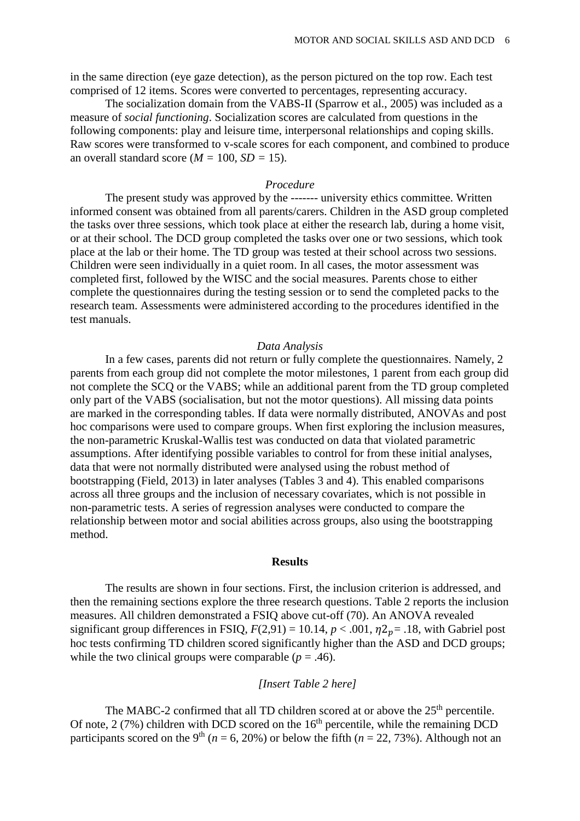in the same direction (eye gaze detection), as the person pictured on the top row. Each test comprised of 12 items. Scores were converted to percentages, representing accuracy.

The socialization domain from the VABS-II (Sparrow et al., 2005) was included as a measure of *social functioning*. Socialization scores are calculated from questions in the following components: play and leisure time, interpersonal relationships and coping skills. Raw scores were transformed to v-scale scores for each component, and combined to produce an overall standard score ( $M = 100$ ,  $SD = 15$ ).

### *Procedure*

The present study was approved by the ------- university ethics committee. Written informed consent was obtained from all parents/carers. Children in the ASD group completed the tasks over three sessions, which took place at either the research lab, during a home visit, or at their school. The DCD group completed the tasks over one or two sessions, which took place at the lab or their home. The TD group was tested at their school across two sessions. Children were seen individually in a quiet room. In all cases, the motor assessment was completed first, followed by the WISC and the social measures. Parents chose to either complete the questionnaires during the testing session or to send the completed packs to the research team. Assessments were administered according to the procedures identified in the test manuals.

### *Data Analysis*

In a few cases, parents did not return or fully complete the questionnaires. Namely, 2 parents from each group did not complete the motor milestones, 1 parent from each group did not complete the SCQ or the VABS; while an additional parent from the TD group completed only part of the VABS (socialisation, but not the motor questions). All missing data points are marked in the corresponding tables. If data were normally distributed, ANOVAs and post hoc comparisons were used to compare groups. When first exploring the inclusion measures, the non-parametric Kruskal-Wallis test was conducted on data that violated parametric assumptions. After identifying possible variables to control for from these initial analyses, data that were not normally distributed were analysed using the robust method of bootstrapping (Field, 2013) in later analyses (Tables 3 and 4). This enabled comparisons across all three groups and the inclusion of necessary covariates, which is not possible in non-parametric tests. A series of regression analyses were conducted to compare the relationship between motor and social abilities across groups, also using the bootstrapping method.

### **Results**

The results are shown in four sections. First, the inclusion criterion is addressed, and then the remaining sections explore the three research questions. Table 2 reports the inclusion measures. All children demonstrated a FSIQ above cut-off (70). An ANOVA revealed significant group differences in FSIQ,  $F(2,91) = 10.14$ ,  $p < .001$ ,  $\eta_2 = .18$ , with Gabriel post hoc tests confirming TD children scored significantly higher than the ASD and DCD groups; while the two clinical groups were comparable ( $p = .46$ ).

#### *[Insert Table 2 here]*

The MABC-2 confirmed that all TD children scored at or above the 25<sup>th</sup> percentile. Of note, 2 (7%) children with DCD scored on the  $16<sup>th</sup>$  percentile, while the remaining DCD participants scored on the 9<sup>th</sup> ( $n = 6, 20\%$ ) or below the fifth ( $n = 22, 73\%$ ). Although not an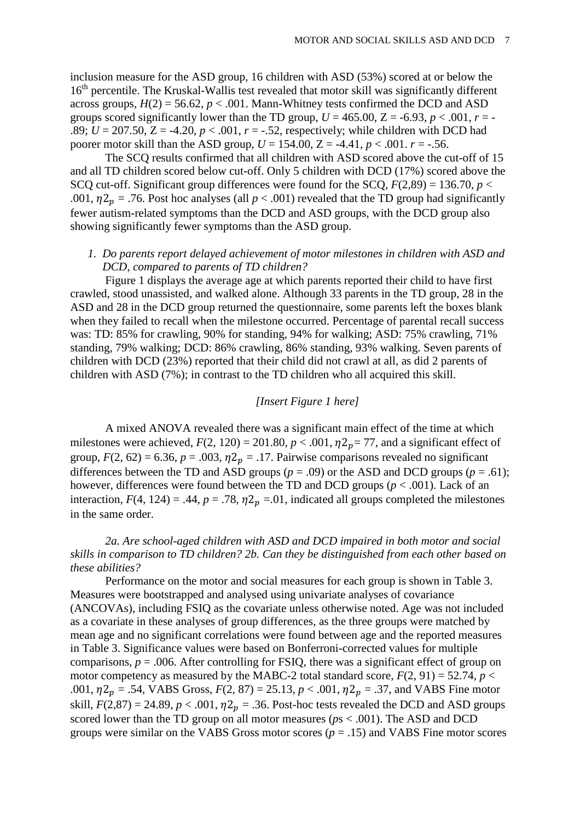inclusion measure for the ASD group, 16 children with ASD (53%) scored at or below the 16<sup>th</sup> percentile. The Kruskal-Wallis test revealed that motor skill was significantly different across groups,  $H(2) = 56.62$ ,  $p < .001$ . Mann-Whitney tests confirmed the DCD and ASD groups scored significantly lower than the TD group,  $U = 465.00$ ,  $Z = -6.93$ ,  $p < .001$ ,  $r = -$ .89;  $U = 207.50$ ,  $Z = -4.20$ ,  $p < .001$ ,  $r = -.52$ , respectively; while children with DCD had poorer motor skill than the ASD group,  $U = 154.00$ ,  $Z = -4.41$ ,  $p < .001$ .  $r = -.56$ .

The SCQ results confirmed that all children with ASD scored above the cut-off of 15 and all TD children scored below cut-off. Only 5 children with DCD (17%) scored above the SCQ cut-off. Significant group differences were found for the SCQ, *F*(2,89) = 136.70, *p* < .001,  $\eta_2$  = .76. Post hoc analyses (all  $p < .001$ ) revealed that the TD group had significantly fewer autism-related symptoms than the DCD and ASD groups, with the DCD group also showing significantly fewer symptoms than the ASD group.

## *1. Do parents report delayed achievement of motor milestones in children with ASD and DCD, compared to parents of TD children?*

Figure 1 displays the average age at which parents reported their child to have first crawled, stood unassisted, and walked alone. Although 33 parents in the TD group, 28 in the ASD and 28 in the DCD group returned the questionnaire, some parents left the boxes blank when they failed to recall when the milestone occurred. Percentage of parental recall success was: TD: 85% for crawling, 90% for standing, 94% for walking; ASD: 75% crawling, 71% standing, 79% walking; DCD: 86% crawling, 86% standing, 93% walking. Seven parents of children with DCD (23%) reported that their child did not crawl at all, as did 2 parents of children with ASD (7%); in contrast to the TD children who all acquired this skill.

## *[Insert Figure 1 here]*

A mixed ANOVA revealed there was a significant main effect of the time at which milestones were achieved,  $F(2, 120) = 201.80$ ,  $p < .001$ ,  $\eta_2 = 77$ , and a significant effect of group,  $F(2, 62) = 6.36$ ,  $p = .003$ ,  $\eta_2 = .17$ . Pairwise comparisons revealed no significant differences between the TD and ASD groups ( $p = .09$ ) or the ASD and DCD groups ( $p = .61$ ); however, differences were found between the TD and DCD groups  $(p < .001)$ . Lack of an interaction,  $F(4, 124) = .44$ ,  $p = .78$ ,  $\eta_2 = .01$ , indicated all groups completed the milestones in the same order.

## *2a. Are school-aged children with ASD and DCD impaired in both motor and social skills in comparison to TD children? 2b. Can they be distinguished from each other based on these abilities?*

Performance on the motor and social measures for each group is shown in Table 3. Measures were bootstrapped and analysed using univariate analyses of covariance (ANCOVAs), including FSIQ as the covariate unless otherwise noted. Age was not included as a covariate in these analyses of group differences, as the three groups were matched by mean age and no significant correlations were found between age and the reported measures in Table 3. Significance values were based on Bonferroni-corrected values for multiple comparisons,  $p = 0.006$ . After controlling for FSIQ, there was a significant effect of group on motor competency as measured by the MABC-2 total standard score,  $F(2, 91) = 52.74$ ,  $p <$ .001,  $\eta_2^p = .54$ , VABS Gross,  $F(2, 87) = 25.13$ ,  $p < .001$ ,  $\eta_2^p = .37$ , and VABS Fine motor skill,  $F(2,87) = 24.89$ ,  $p < .001$ ,  $\eta_2 = .36$ . Post-hoc tests revealed the DCD and ASD groups scored lower than the TD group on all motor measures (*p*s < .001). The ASD and DCD groups were similar on the VABS Gross motor scores  $(p = .15)$  and VABS Fine motor scores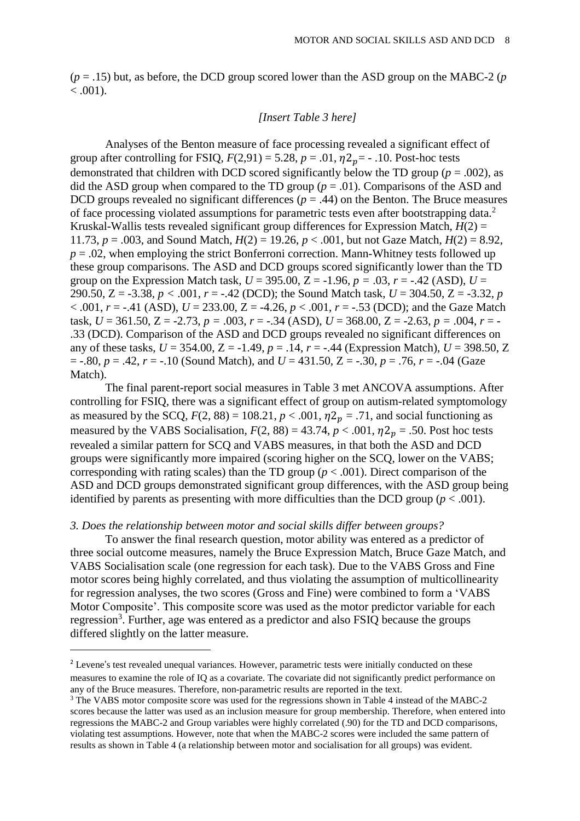$(p = .15)$  but, as before, the DCD group scored lower than the ASD group on the MABC-2  $(p = .15)$  $< .001$ ).

### *[Insert Table 3 here]*

Analyses of the Benton measure of face processing revealed a significant effect of group after controlling for FSIQ,  $F(2,91) = 5.28$ ,  $p = .01$ ,  $\eta_2 = -10$ . Post-hoc tests demonstrated that children with DCD scored significantly below the TD group ( $p = .002$ ), as did the ASD group when compared to the TD group  $(p = .01)$ . Comparisons of the ASD and DCD groups revealed no significant differences ( $p = .44$ ) on the Benton. The Bruce measures of face processing violated assumptions for parametric tests even after bootstrapping data.<sup>2</sup> Kruskal-Wallis tests revealed significant group differences for Expression Match,  $H(2)$  = 11.73,  $p = .003$ , and Sound Match,  $H(2) = 19.26$ ,  $p < .001$ , but not Gaze Match,  $H(2) = 8.92$ ,  $p = 0.02$ , when employing the strict Bonferroni correction. Mann-Whitney tests followed up these group comparisons. The ASD and DCD groups scored significantly lower than the TD group on the Expression Match task,  $U = 395.00$ ,  $Z = -1.96$ ,  $p = .03$ ,  $r = -.42$  (ASD),  $U =$ 290.50,  $Z = -3.38$ ,  $p < .001$ ,  $r = -0.42$  (DCD); the Sound Match task,  $U = 304.50$ ,  $Z = -3.32$ ,  $p = 3.32$  $< .001$ ,  $r = -.41$  (ASD),  $U = 233.00$ ,  $Z = -4.26$ ,  $p < .001$ ,  $r = -.53$  (DCD); and the Gaze Match task,  $U = 361.50$ ,  $Z = -2.73$ ,  $p = .003$ ,  $r = -.34$  (ASD),  $U = 368.00$ ,  $Z = -2.63$ ,  $p = .004$ ,  $r = -$ .33 (DCD). Comparison of the ASD and DCD groups revealed no significant differences on any of these tasks,  $U = 354.00$ ,  $Z = -1.49$ ,  $p = .14$ ,  $r = -0.44$  (Expression Match),  $U = 398.50$ ,  $Z = 14$  $= -.80, p = .42, r = -.10$  (Sound Match), and  $U = 431.50, Z = -.30, p = .76, r = -.04$  (Gaze Match).

The final parent-report social measures in Table 3 met ANCOVA assumptions. After controlling for FSIQ, there was a significant effect of group on autism-related symptomology as measured by the SCQ,  $F(2, 88) = 108.21$ ,  $p < .001$ ,  $\eta_2 = .71$ , and social functioning as measured by the VABS Socialisation,  $F(2, 88) = 43.74$ ,  $p < .001$ ,  $\eta_2 = .50$ . Post hoc tests revealed a similar pattern for SCQ and VABS measures, in that both the ASD and DCD groups were significantly more impaired (scoring higher on the SCQ, lower on the VABS; corresponding with rating scales) than the TD group ( $p < .001$ ). Direct comparison of the ASD and DCD groups demonstrated significant group differences, with the ASD group being identified by parents as presenting with more difficulties than the DCD group ( $p < .001$ ).

### *3. Does the relationship between motor and social skills differ between groups?*

 $\overline{a}$ 

To answer the final research question, motor ability was entered as a predictor of three social outcome measures, namely the Bruce Expression Match, Bruce Gaze Match, and VABS Socialisation scale (one regression for each task). Due to the VABS Gross and Fine motor scores being highly correlated, and thus violating the assumption of multicollinearity for regression analyses, the two scores (Gross and Fine) were combined to form a 'VABS Motor Composite'. This composite score was used as the motor predictor variable for each regression<sup>3</sup>. Further, age was entered as a predictor and also FSIQ because the groups differed slightly on the latter measure.

<sup>&</sup>lt;sup>2</sup> Levene's test revealed unequal variances. However, parametric tests were initially conducted on these measures to examine the role of IQ as a covariate. The covariate did not significantly predict performance on any of the Bruce measures. Therefore, non-parametric results are reported in the text.

<sup>&</sup>lt;sup>3</sup> The VABS motor composite score was used for the regressions shown in Table 4 instead of the MABC-2 scores because the latter was used as an inclusion measure for group membership. Therefore, when entered into regressions the MABC-2 and Group variables were highly correlated (.90) for the TD and DCD comparisons, violating test assumptions. However, note that when the MABC-2 scores were included the same pattern of results as shown in Table 4 (a relationship between motor and socialisation for all groups) was evident.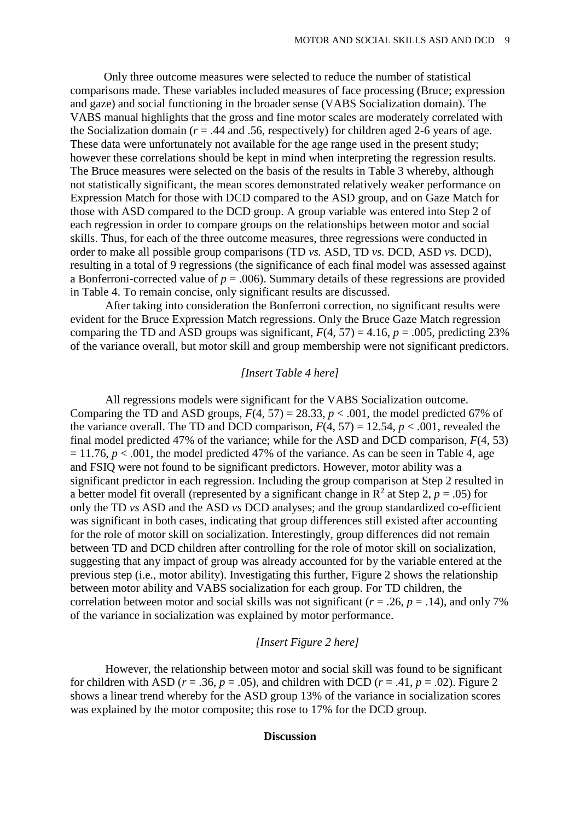Only three outcome measures were selected to reduce the number of statistical comparisons made. These variables included measures of face processing (Bruce; expression and gaze) and social functioning in the broader sense (VABS Socialization domain). The VABS manual highlights that the gross and fine motor scales are moderately correlated with the Socialization domain ( $r = .44$  and .56, respectively) for children aged 2-6 years of age. These data were unfortunately not available for the age range used in the present study; however these correlations should be kept in mind when interpreting the regression results. The Bruce measures were selected on the basis of the results in Table 3 whereby, although not statistically significant, the mean scores demonstrated relatively weaker performance on Expression Match for those with DCD compared to the ASD group, and on Gaze Match for those with ASD compared to the DCD group. A group variable was entered into Step 2 of each regression in order to compare groups on the relationships between motor and social skills. Thus, for each of the three outcome measures, three regressions were conducted in order to make all possible group comparisons (TD *vs.* ASD, TD *vs.* DCD, ASD *vs.* DCD), resulting in a total of 9 regressions (the significance of each final model was assessed against a Bonferroni-corrected value of  $p = .006$ ). Summary details of these regressions are provided in Table 4. To remain concise, only significant results are discussed.

After taking into consideration the Bonferroni correction, no significant results were evident for the Bruce Expression Match regressions. Only the Bruce Gaze Match regression comparing the TD and ASD groups was significant,  $F(4, 57) = 4.16$ ,  $p = .005$ , predicting 23% of the variance overall, but motor skill and group membership were not significant predictors.

### *[Insert Table 4 here]*

All regressions models were significant for the VABS Socialization outcome. Comparing the TD and ASD groups,  $F(4, 57) = 28.33$ ,  $p < .001$ , the model predicted 67% of the variance overall. The TD and DCD comparison,  $F(4, 57) = 12.54$ ,  $p < .001$ , revealed the final model predicted 47% of the variance; while for the ASD and DCD comparison, *F*(4, 53)  $= 11.76$ ,  $p < .001$ , the model predicted 47% of the variance. As can be seen in Table 4, age and FSIQ were not found to be significant predictors. However, motor ability was a significant predictor in each regression. Including the group comparison at Step 2 resulted in a better model fit overall (represented by a significant change in  $\mathbb{R}^2$  at Step 2,  $p = .05$ ) for only the TD *vs* ASD and the ASD *vs* DCD analyses; and the group standardized co-efficient was significant in both cases, indicating that group differences still existed after accounting for the role of motor skill on socialization. Interestingly, group differences did not remain between TD and DCD children after controlling for the role of motor skill on socialization, suggesting that any impact of group was already accounted for by the variable entered at the previous step (i.e., motor ability). Investigating this further, Figure 2 shows the relationship between motor ability and VABS socialization for each group. For TD children, the correlation between motor and social skills was not significant ( $r = .26$ ,  $p = .14$ ), and only 7% of the variance in socialization was explained by motor performance.

## *[Insert Figure 2 here]*

However, the relationship between motor and social skill was found to be significant for children with ASD ( $r = .36$ ,  $p = .05$ ), and children with DCD ( $r = .41$ ,  $p = .02$ ). Figure 2 shows a linear trend whereby for the ASD group 13% of the variance in socialization scores was explained by the motor composite; this rose to 17% for the DCD group.

### **Discussion**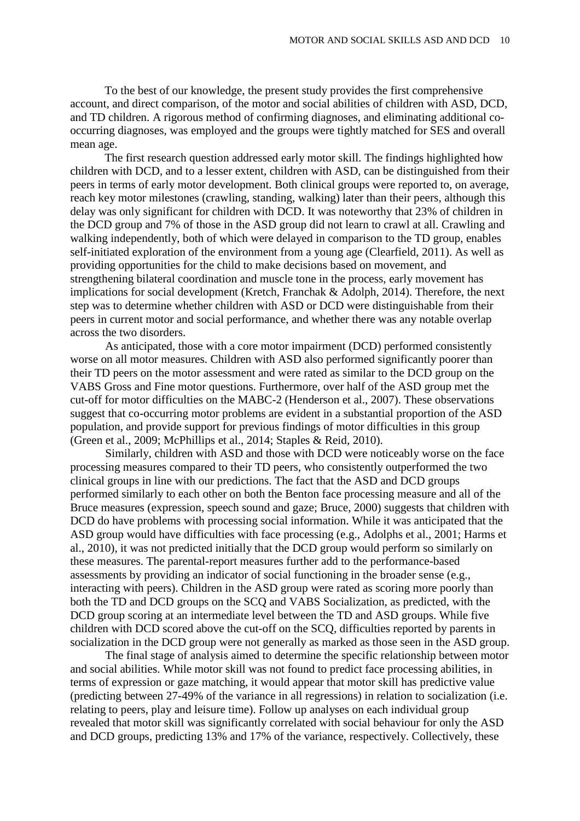To the best of our knowledge, the present study provides the first comprehensive account, and direct comparison, of the motor and social abilities of children with ASD, DCD, and TD children. A rigorous method of confirming diagnoses, and eliminating additional cooccurring diagnoses, was employed and the groups were tightly matched for SES and overall mean age.

The first research question addressed early motor skill. The findings highlighted how children with DCD, and to a lesser extent, children with ASD, can be distinguished from their peers in terms of early motor development. Both clinical groups were reported to, on average, reach key motor milestones (crawling, standing, walking) later than their peers, although this delay was only significant for children with DCD. It was noteworthy that 23% of children in the DCD group and 7% of those in the ASD group did not learn to crawl at all. Crawling and walking independently, both of which were delayed in comparison to the TD group, enables self-initiated exploration of the environment from a young age (Clearfield, 2011). As well as providing opportunities for the child to make decisions based on movement, and strengthening bilateral coordination and muscle tone in the process, early movement has implications for social development (Kretch, Franchak & Adolph, 2014). Therefore, the next step was to determine whether children with ASD or DCD were distinguishable from their peers in current motor and social performance, and whether there was any notable overlap across the two disorders.

As anticipated, those with a core motor impairment (DCD) performed consistently worse on all motor measures. Children with ASD also performed significantly poorer than their TD peers on the motor assessment and were rated as similar to the DCD group on the VABS Gross and Fine motor questions. Furthermore, over half of the ASD group met the cut-off for motor difficulties on the MABC-2 (Henderson et al., 2007). These observations suggest that co-occurring motor problems are evident in a substantial proportion of the ASD population, and provide support for previous findings of motor difficulties in this group (Green et al., 2009; McPhillips et al., 2014; Staples & Reid, 2010).

Similarly, children with ASD and those with DCD were noticeably worse on the face processing measures compared to their TD peers, who consistently outperformed the two clinical groups in line with our predictions. The fact that the ASD and DCD groups performed similarly to each other on both the Benton face processing measure and all of the Bruce measures (expression, speech sound and gaze; Bruce, 2000) suggests that children with DCD do have problems with processing social information. While it was anticipated that the ASD group would have difficulties with face processing (e.g., Adolphs et al., 2001; Harms et al., 2010), it was not predicted initially that the DCD group would perform so similarly on these measures. The parental-report measures further add to the performance-based assessments by providing an indicator of social functioning in the broader sense (e.g., interacting with peers). Children in the ASD group were rated as scoring more poorly than both the TD and DCD groups on the SCQ and VABS Socialization, as predicted, with the DCD group scoring at an intermediate level between the TD and ASD groups. While five children with DCD scored above the cut-off on the SCQ, difficulties reported by parents in socialization in the DCD group were not generally as marked as those seen in the ASD group.

The final stage of analysis aimed to determine the specific relationship between motor and social abilities. While motor skill was not found to predict face processing abilities, in terms of expression or gaze matching, it would appear that motor skill has predictive value (predicting between 27-49% of the variance in all regressions) in relation to socialization (i.e. relating to peers, play and leisure time). Follow up analyses on each individual group revealed that motor skill was significantly correlated with social behaviour for only the ASD and DCD groups, predicting 13% and 17% of the variance, respectively. Collectively, these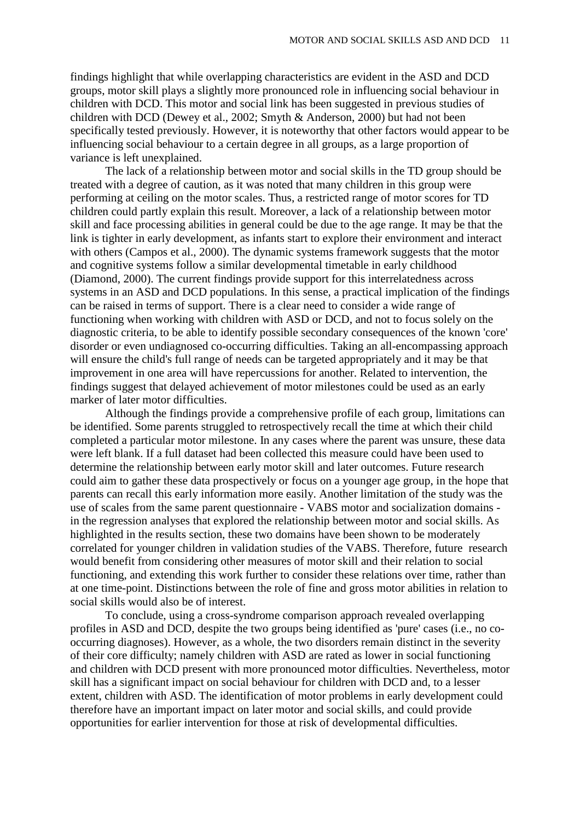findings highlight that while overlapping characteristics are evident in the ASD and DCD groups, motor skill plays a slightly more pronounced role in influencing social behaviour in children with DCD. This motor and social link has been suggested in previous studies of children with DCD (Dewey et al., 2002; Smyth & Anderson, 2000) but had not been specifically tested previously. However, it is noteworthy that other factors would appear to be influencing social behaviour to a certain degree in all groups, as a large proportion of variance is left unexplained.

The lack of a relationship between motor and social skills in the TD group should be treated with a degree of caution, as it was noted that many children in this group were performing at ceiling on the motor scales. Thus, a restricted range of motor scores for TD children could partly explain this result. Moreover, a lack of a relationship between motor skill and face processing abilities in general could be due to the age range. It may be that the link is tighter in early development, as infants start to explore their environment and interact with others (Campos et al., 2000). The dynamic systems framework suggests that the motor and cognitive systems follow a similar developmental timetable in early childhood (Diamond, 2000). The current findings provide support for this interrelatedness across systems in an ASD and DCD populations. In this sense, a practical implication of the findings can be raised in terms of support. There is a clear need to consider a wide range of functioning when working with children with ASD or DCD, and not to focus solely on the diagnostic criteria, to be able to identify possible secondary consequences of the known 'core' disorder or even undiagnosed co-occurring difficulties. Taking an all-encompassing approach will ensure the child's full range of needs can be targeted appropriately and it may be that improvement in one area will have repercussions for another. Related to intervention, the findings suggest that delayed achievement of motor milestones could be used as an early marker of later motor difficulties.

Although the findings provide a comprehensive profile of each group, limitations can be identified. Some parents struggled to retrospectively recall the time at which their child completed a particular motor milestone. In any cases where the parent was unsure, these data were left blank. If a full dataset had been collected this measure could have been used to determine the relationship between early motor skill and later outcomes. Future research could aim to gather these data prospectively or focus on a younger age group, in the hope that parents can recall this early information more easily. Another limitation of the study was the use of scales from the same parent questionnaire - VABS motor and socialization domains in the regression analyses that explored the relationship between motor and social skills. As highlighted in the results section, these two domains have been shown to be moderately correlated for younger children in validation studies of the VABS. Therefore, future research would benefit from considering other measures of motor skill and their relation to social functioning, and extending this work further to consider these relations over time, rather than at one time-point. Distinctions between the role of fine and gross motor abilities in relation to social skills would also be of interest.

To conclude, using a cross-syndrome comparison approach revealed overlapping profiles in ASD and DCD, despite the two groups being identified as 'pure' cases (i.e., no cooccurring diagnoses). However, as a whole, the two disorders remain distinct in the severity of their core difficulty; namely children with ASD are rated as lower in social functioning and children with DCD present with more pronounced motor difficulties. Nevertheless, motor skill has a significant impact on social behaviour for children with DCD and, to a lesser extent, children with ASD. The identification of motor problems in early development could therefore have an important impact on later motor and social skills, and could provide opportunities for earlier intervention for those at risk of developmental difficulties.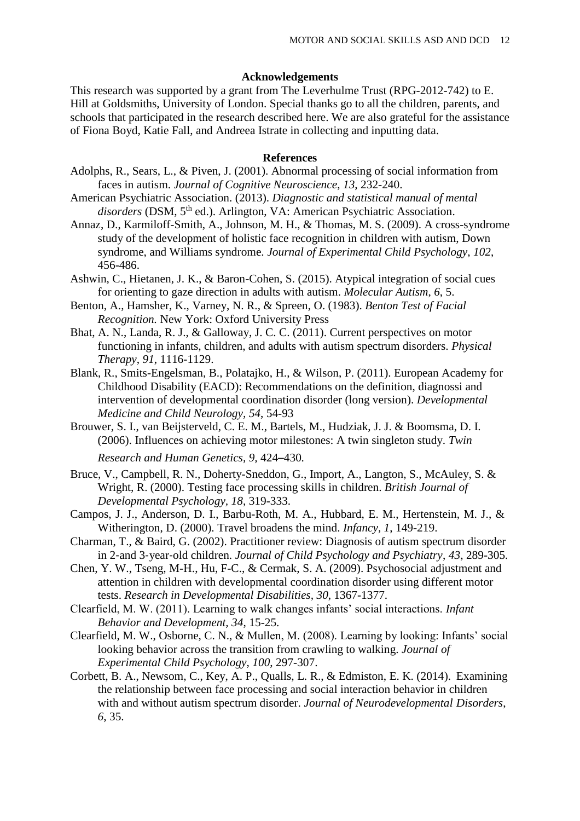### **Acknowledgements**

This research was supported by a grant from The Leverhulme Trust (RPG-2012-742) to E. Hill at Goldsmiths, University of London. Special thanks go to all the children, parents, and schools that participated in the research described here. We are also grateful for the assistance of Fiona Boyd, Katie Fall, and Andreea Istrate in collecting and inputting data.

## **References**

- Adolphs, R., Sears, L., & Piven, J. (2001). Abnormal processing of social information from faces in autism. *Journal of Cognitive Neuroscience*, *13*, 232-240.
- American Psychiatric Association. (2013). *Diagnostic and statistical manual of mental* disorders (DSM, 5<sup>th</sup> ed.). Arlington, VA: American Psychiatric Association.
- Annaz, D., Karmiloff-Smith, A., Johnson, M. H., & Thomas, M. S. (2009). A cross-syndrome study of the development of holistic face recognition in children with autism, Down syndrome, and Williams syndrome. *Journal of Experimental Child Psychology*, *102*, 456-486.
- Ashwin, C., Hietanen, J. K., & Baron-Cohen, S. (2015). Atypical integration of social cues for orienting to gaze direction in adults with autism. *Molecular Autism*, *6*, 5.
- Benton, A., Hamsher, K., Varney, N. R., & Spreen, O. (1983). *Benton Test of Facial Recognition.* New York: Oxford University Press
- Bhat, A. N., Landa, R. J., & Galloway, J. C. C. (2011). Current perspectives on motor functioning in infants, children, and adults with autism spectrum disorders. *Physical Therapy*, *91*, 1116-1129.
- Blank, R., Smits-Engelsman, B., Polatajko, H., & Wilson, P. (2011). European Academy for Childhood Disability (EACD): Recommendations on the definition, diagnossi and intervention of developmental coordination disorder (long version). *Developmental Medicine and Child Neurology, 54*, 54-93
- Brouwer, S. I., van Beijsterveld, C. E. M., Bartels, M., Hudziak, J. J. & Boomsma, D. I. (2006). Influences on achieving motor milestones: A twin singleton study. *Twin*

*Research and Human Genetics, 9,* 424–430*.*

- Bruce, V., Campbell, R. N., Doherty-Sneddon, G., Import, A., Langton, S., McAuley, S. & Wright, R. (2000). Testing face processing skills in children. *British Journal of Developmental Psychology, 18*, 319-333.
- Campos, J. J., Anderson, D. I., Barbu-Roth, M. A., Hubbard, E. M., Hertenstein, M. J., & Witherington, D. (2000). Travel broadens the mind. *Infancy, 1*, 149-219.
- Charman, T., & Baird, G. (2002). Practitioner review: Diagnosis of autism spectrum disorder in 2‐and 3‐year‐old children. *Journal of Child Psychology and Psychiatry*, *43*, 289-305.
- Chen, Y. W., Tseng, M-H., Hu, F-C., & Cermak, S. A. (2009). Psychosocial adjustment and attention in children with developmental coordination disorder using different motor tests. *Research in Developmental Disabilities, 30*, 1367-1377.
- Clearfield, M. W. (2011). Learning to walk changes infants' social interactions. *Infant Behavior and Development, 34*, 15-25.
- Clearfield, M. W., Osborne, C. N., & Mullen, M. (2008). Learning by looking: Infants' social looking behavior across the transition from crawling to walking. *Journal of Experimental Child Psychology*, *100*, 297-307.
- Corbett, B. A., Newsom, C., Key, A. P., Qualls, L. R., & Edmiston, E. K. (2014). Examining the relationship between face processing and social interaction behavior in children with and without autism spectrum disorder. *Journal of Neurodevelopmental Disorders*, *6*, 35.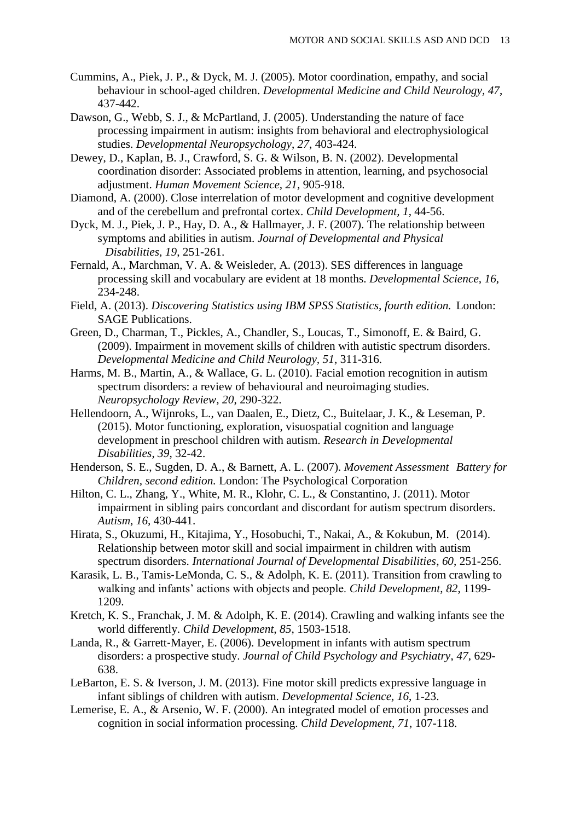- Cummins, A., Piek, J. P., & Dyck, M. J. (2005). Motor coordination, empathy, and social behaviour in school-aged children. *Developmental Medicine and Child Neurology, 47*, 437-442.
- Dawson, G., Webb, S. J., & McPartland, J. (2005). Understanding the nature of face processing impairment in autism: insights from behavioral and electrophysiological studies. *Developmental Neuropsychology*, *27*, 403-424.
- Dewey, D., Kaplan, B. J., Crawford, S. G. & Wilson, B. N. (2002). Developmental coordination disorder: Associated problems in attention, learning, and psychosocial adjustment. *Human Movement Science, 21,* 905-918.
- Diamond, A. (2000). Close interrelation of motor development and cognitive development and of the cerebellum and prefrontal cortex. *Child Development, 1*, 44-56.
- Dyck, M. J., Piek, J. P., Hay, D. A., & Hallmayer, J. F. (2007). The relationship between symptoms and abilities in autism. *Journal of Developmental and Physical Disabilities*, *19*, 251-261.
- Fernald, A., Marchman, V. A. & Weisleder, A. (2013). SES differences in language processing skill and vocabulary are evident at 18 months. *Developmental Science, 16*, 234-248.
- Field, A. (2013). *Discovering Statistics using IBM SPSS Statistics, fourth edition.* London: SAGE Publications.
- Green, D., Charman, T., Pickles, A., Chandler, S., Loucas, T., Simonoff, E. & Baird, G. (2009). Impairment in movement skills of children with autistic spectrum disorders. *Developmental Medicine and Child Neurology, 51*, 311-316.
- Harms, M. B., Martin, A., & Wallace, G. L. (2010). Facial emotion recognition in autism spectrum disorders: a review of behavioural and neuroimaging studies. *Neuropsychology Review, 20*, 290-322.
- Hellendoorn, A., Wijnroks, L., van Daalen, E., Dietz, C., Buitelaar, J. K., & Leseman, P. (2015). Motor functioning, exploration, visuospatial cognition and language development in preschool children with autism. *Research in Developmental Disabilities*, *39*, 32-42.
- Henderson, S. E., Sugden, D. A., & Barnett, A. L. (2007). *Movement Assessment Battery for Children, second edition.* London: The Psychological Corporation
- Hilton, C. L., Zhang, Y., White, M. R., Klohr, C. L., & Constantino, J. (2011). Motor impairment in sibling pairs concordant and discordant for autism spectrum disorders. *Autism*, *16,* 430-441.
- Hirata, S., Okuzumi, H., Kitajima, Y., Hosobuchi, T., Nakai, A., & Kokubun, M. (2014). Relationship between motor skill and social impairment in children with autism spectrum disorders. *International Journal of Developmental Disabilities*, *60*, 251-256.
- Karasik, L. B., Tamis‐LeMonda, C. S., & Adolph, K. E. (2011). Transition from crawling to walking and infants' actions with objects and people. *Child Development*, *82*, 1199- 1209.
- Kretch, K. S., Franchak, J. M. & Adolph, K. E. (2014). Crawling and walking infants see the world differently. *Child Development, 85*, 1503-1518.
- Landa, R., & Garrett-Mayer, E. (2006). Development in infants with autism spectrum disorders: a prospective study. *Journal of Child Psychology and Psychiatry*, *47*, 629- 638.
- LeBarton, E. S. & Iverson, J. M. (2013). Fine motor skill predicts expressive language in infant siblings of children with autism. *Developmental Science, 16*, 1-23.
- Lemerise, E. A., & Arsenio, W. F. (2000). An integrated model of emotion processes and cognition in social information processing. *Child Development*, *71*, 107-118.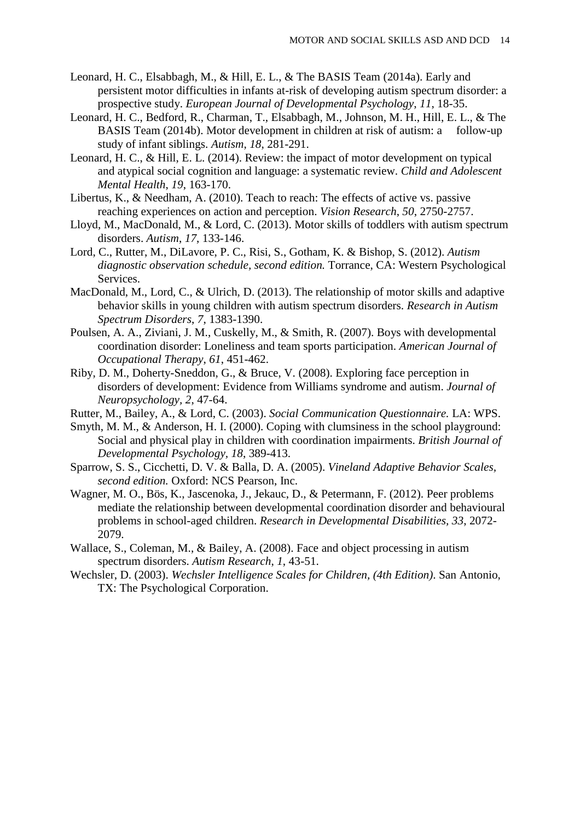- Leonard, H. C., Elsabbagh, M., & Hill, E. L., & The BASIS Team (2014a). Early and persistent motor difficulties in infants at-risk of developing autism spectrum disorder: a prospective study. *European Journal of Developmental Psychology*, *11*, 18-35.
- Leonard, H. C., Bedford, R., Charman, T., Elsabbagh, M., Johnson, M. H., Hill, E. L., & The BASIS Team (2014b). Motor development in children at risk of autism: a follow-up study of infant siblings. *Autism*, *18*, 281-291.
- Leonard, H. C., & Hill, E. L. (2014). Review: the impact of motor development on typical and atypical social cognition and language: a systematic review. *Child and Adolescent Mental Health*, *19*, 163-170.
- Libertus, K., & Needham, A. (2010). Teach to reach: The effects of active vs. passive reaching experiences on action and perception. *Vision Research*, *50*, 2750-2757.
- Lloyd, M., MacDonald, M., & Lord, C. (2013). Motor skills of toddlers with autism spectrum disorders. *Autism*, *17*, 133-146.
- Lord, C., Rutter, M., DiLavore, P. C., Risi, S., Gotham, K. & Bishop, S. (2012). *Autism diagnostic observation schedule, second edition.* Torrance, CA: Western Psychological Services.
- MacDonald, M., Lord, C., & Ulrich, D. (2013). The relationship of motor skills and adaptive behavior skills in young children with autism spectrum disorders. *Research in Autism Spectrum Disorders*, *7*, 1383-1390.
- Poulsen, A. A., Ziviani, J. M., Cuskelly, M., & Smith, R. (2007). Boys with developmental coordination disorder: Loneliness and team sports participation. *American Journal of Occupational Therapy*, *61*, 451-462.
- Riby, D. M., Doherty-Sneddon, G., & Bruce, V. (2008). Exploring face perception in disorders of development: Evidence from Williams syndrome and autism. *Journal of Neuropsychology, 2*, 47-64.
- Rutter, M., Bailey, A., & Lord, C. (2003). *Social Communication Questionnaire.* LA: WPS.
- Smyth, M. M., & Anderson, H. I. (2000). Coping with clumsiness in the school playground: Social and physical play in children with coordination impairments. *British Journal of Developmental Psychology, 18*, 389-413.
- Sparrow, S. S., Cicchetti, D. V. & Balla, D. A. (2005). *Vineland Adaptive Behavior Scales, second edition.* Oxford: NCS Pearson, Inc.
- Wagner, M. O., Bös, K., Jascenoka, J., Jekauc, D., & Petermann, F. (2012). Peer problems mediate the relationship between developmental coordination disorder and behavioural problems in school-aged children. *Research in Developmental Disabilities, 33*, 2072- 2079.
- Wallace, S., Coleman, M., & Bailey, A. (2008). Face and object processing in autism spectrum disorders. *Autism Research*, *1*, 43-51.
- Wechsler, D. (2003). *Wechsler Intelligence Scales for Children, (4th Edition)*. San Antonio, TX: The Psychological Corporation.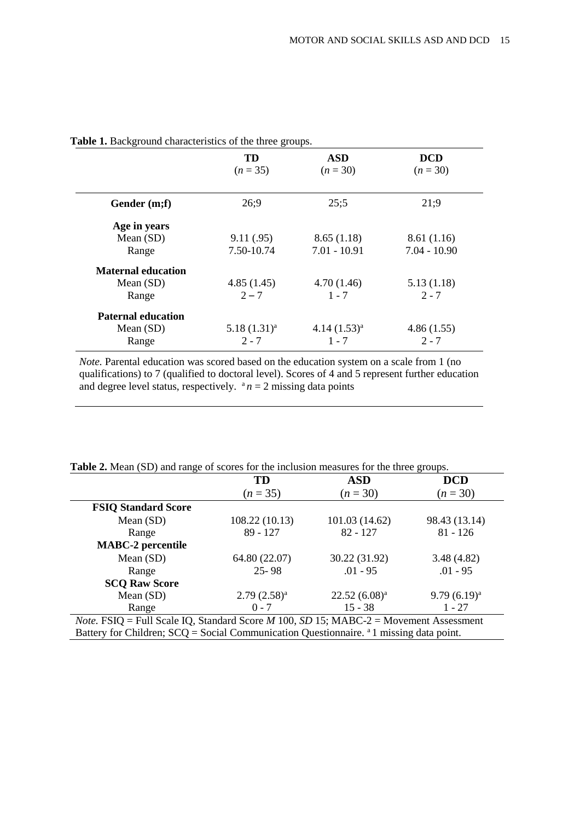|                           | TD<br><b>ASD</b><br>$(n = 35)$<br>$(n=30)$ |                  | <b>DCD</b><br>$(n = 30)$ |  |  |
|---------------------------|--------------------------------------------|------------------|--------------------------|--|--|
| Gender (m;f)              | 26;9                                       | 25:5             | 21:9                     |  |  |
| Age in years              |                                            |                  |                          |  |  |
| Mean $(SD)$               | 9.11(.95)                                  | 8.65(1.18)       | 8.61(1.16)               |  |  |
| Range                     | 7.50-10.74                                 | $7.01 - 10.91$   | $7.04 - 10.90$           |  |  |
| <b>Maternal education</b> |                                            |                  |                          |  |  |
| Mean $(SD)$               | 4.85(1.45)                                 | 4.70(1.46)       | 5.13(1.18)               |  |  |
| Range                     | $2 - 7$                                    | $1 - 7$          | $2 - 7$                  |  |  |
| <b>Paternal education</b> |                                            |                  |                          |  |  |
| Mean $(SD)$               | $5.18(1.31)^a$                             | $4.14(1.53)^{a}$ | 4.86(1.55)               |  |  |
| Range                     | $2 - 7$                                    | $1 - 7$          | $2 - 7$                  |  |  |

## **Table 1.** Background characteristics of the three groups.

*Note.* Parental education was scored based on the education system on a scale from 1 (no qualifications) to 7 (qualified to doctoral level). Scores of 4 and 5 represent further education and degree level status, respectively.  $a_n = 2$  missing data points

## **Table 2.** Mean (SD) and range of scores for the inclusion measures for the three groups.

|                                                                                                             | TD<br><b>ASD</b> |                 | <b>DCD</b>       |  |  |
|-------------------------------------------------------------------------------------------------------------|------------------|-----------------|------------------|--|--|
|                                                                                                             | $(n=35)$         | $(n=30)$        | $(n=30)$         |  |  |
| <b>FSIQ Standard Score</b>                                                                                  |                  |                 |                  |  |  |
| Mean $(SD)$                                                                                                 | 108.22 (10.13)   | 101.03 (14.62)  | 98.43 (13.14)    |  |  |
| Range                                                                                                       | $89 - 127$       | $82 - 127$      | $81 - 126$       |  |  |
| <b>MABC-2 percentile</b>                                                                                    |                  |                 |                  |  |  |
| Mean $(SD)$                                                                                                 | 64.80 (22.07)    | 30.22 (31.92)   | 3.48(4.82)       |  |  |
| Range                                                                                                       | $25 - 98$        | $.01 - 95$      | $.01 - 95$       |  |  |
| <b>SCQ Raw Score</b>                                                                                        |                  |                 |                  |  |  |
| Mean $(SD)$                                                                                                 | $2.79(2.58)^a$   | $22.52(6.08)^a$ | $9.79(6.19)^{a}$ |  |  |
| Range                                                                                                       | $0 - 7$          | $15 - 38$       | $1 - 27$         |  |  |
| <i>Note</i> . FSIQ = Full Scale IQ, Standard Score <i>M</i> 100, <i>SD</i> 15; MABC-2 = Movement Assessment |                  |                 |                  |  |  |

Battery for Children; SCQ = Social Communication Questionnaire. <sup>a</sup> 1 missing data point.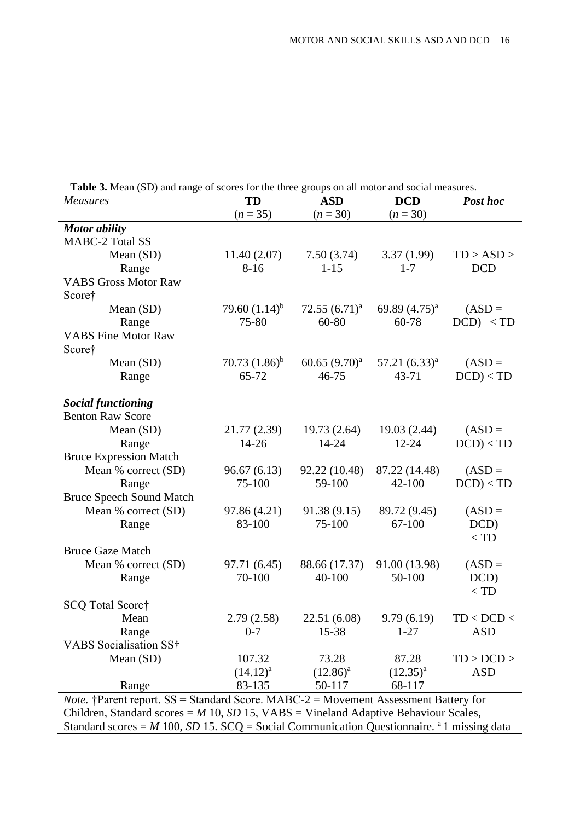|                                                                                       | <b>Table 3.</b> Mean (SD) and range of scores for the three groups on all motor and social measures.<br>TD<br><b>ASD</b> |                  |                  |                         |  |
|---------------------------------------------------------------------------------------|--------------------------------------------------------------------------------------------------------------------------|------------------|------------------|-------------------------|--|
| <b>Measures</b>                                                                       | $(n = 35)$                                                                                                               | $(n = 30)$       | <b>DCD</b>       | Post hoc                |  |
|                                                                                       |                                                                                                                          |                  | $(n=30)$         |                         |  |
| <b>Motor</b> ability                                                                  |                                                                                                                          |                  |                  |                         |  |
| <b>MABC-2 Total SS</b>                                                                |                                                                                                                          |                  |                  |                         |  |
| Mean (SD)                                                                             | 11.40(2.07)                                                                                                              | 7.50(3.74)       | 3.37(1.99)       | TD > ASD >              |  |
| Range                                                                                 | $8 - 16$                                                                                                                 | $1 - 15$         | $1 - 7$          | <b>DCD</b>              |  |
| <b>VABS Gross Motor Raw</b><br>Score†                                                 |                                                                                                                          |                  |                  |                         |  |
| Mean (SD)                                                                             | 79.60 $(1.14)^{b}$                                                                                                       | $72.55(6.71)^a$  | 69.89 $(4.75)^a$ | $(ASD =$                |  |
| Range                                                                                 | 75-80                                                                                                                    | 60-80            | 60-78            | $DCD$ <td< td=""></td<> |  |
| <b>VABS Fine Motor Raw</b>                                                            |                                                                                                                          |                  |                  |                         |  |
| Score†                                                                                |                                                                                                                          |                  |                  |                         |  |
| Mean (SD)                                                                             | 70.73 $(1.86)^b$                                                                                                         | 60.65 $(9.70)^a$ | $57.21 (6.33)^a$ | $(ASD =$                |  |
| Range                                                                                 | 65-72                                                                                                                    | $46 - 75$        | $43 - 71$        | $DCD$ < $TD$            |  |
|                                                                                       |                                                                                                                          |                  |                  |                         |  |
| <b>Social functioning</b>                                                             |                                                                                                                          |                  |                  |                         |  |
| <b>Benton Raw Score</b>                                                               |                                                                                                                          |                  |                  |                         |  |
| Mean (SD)                                                                             | 21.77 (2.39)                                                                                                             | 19.73(2.64)      | 19.03 (2.44)     | $(ASD =$                |  |
| Range                                                                                 | $14 - 26$                                                                                                                | 14-24            | $12 - 24$        | $DCD$ < $TD$            |  |
| <b>Bruce Expression Match</b>                                                         |                                                                                                                          |                  |                  |                         |  |
| Mean % correct (SD)                                                                   | 96.67(6.13)                                                                                                              | 92.22 (10.48)    | 87.22 (14.48)    | $(ASD =$                |  |
| Range                                                                                 | 75-100                                                                                                                   | 59-100           | 42-100           | $DCD$ < $TD$            |  |
| <b>Bruce Speech Sound Match</b>                                                       |                                                                                                                          |                  |                  |                         |  |
| Mean % correct (SD)                                                                   | 97.86 (4.21)                                                                                                             | 91.38 (9.15)     | 89.72 (9.45)     | $(ASD =$                |  |
| Range                                                                                 | 83-100                                                                                                                   | 75-100           | 67-100           | DCD)                    |  |
|                                                                                       |                                                                                                                          |                  |                  | $<$ TD                  |  |
| <b>Bruce Gaze Match</b>                                                               |                                                                                                                          |                  |                  |                         |  |
| Mean % correct (SD)                                                                   | 97.71 (6.45)                                                                                                             | 88.66 (17.37)    | 91.00 (13.98)    | $(ASD =$                |  |
| Range                                                                                 | 70-100                                                                                                                   | 40-100           | 50-100           | DCD)                    |  |
|                                                                                       |                                                                                                                          |                  |                  | $<$ TD $\,$             |  |
| SCQ Total Score†                                                                      |                                                                                                                          |                  |                  |                         |  |
| Mean                                                                                  | 2.79(2.58)                                                                                                               | 22.51 (6.08)     | 9.79(6.19)       | TD < DCD <              |  |
| Range                                                                                 | $0 - 7$                                                                                                                  | 15-38            | $1 - 27$         | <b>ASD</b>              |  |
| VABS Socialisation SS†                                                                |                                                                                                                          |                  |                  |                         |  |
| Mean (SD)                                                                             | 107.32                                                                                                                   | 73.28            | 87.28            | TD > DCD >              |  |
|                                                                                       | $(14.12)^{a}$                                                                                                            | $(12.86)^{a}$    | $(12.35)^{a}$    | <b>ASD</b>              |  |
| Range                                                                                 | 83-135                                                                                                                   | 50-117           | 68-117           |                         |  |
| Note. †Parent report. SS = Standard Score. MABC-2 = Movement Assessment Battery for   |                                                                                                                          |                  |                  |                         |  |
| Children, Standard scores = $M$ 10, SD 15, VABS = Vineland Adaptive Behaviour Scales, |                                                                                                                          |                  |                  |                         |  |
|                                                                                       |                                                                                                                          |                  |                  |                         |  |

**Table 3.** Mean (SD) and range of scores for the three groups on all motor and social

Standard scores =  $M$  100, *SD* 15. SCQ = Social Communication Questionnaire. <sup>a</sup> 1 missing data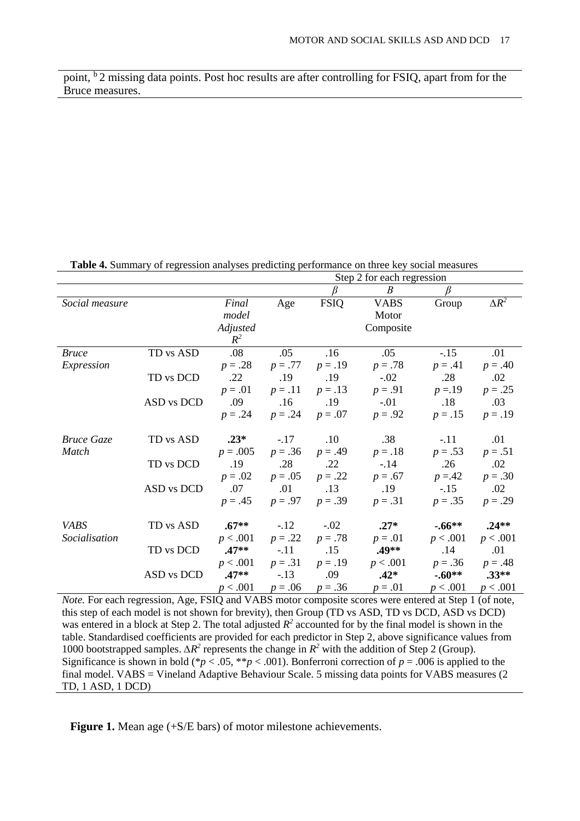point, <sup>b</sup> 2 missing data points. Post hoc results are after controlling for FSIQ, apart from for the Bruce measures.

|                   |            |            | $Step 2$ for each regression |             |                  |           |              |
|-------------------|------------|------------|------------------------------|-------------|------------------|-----------|--------------|
|                   |            |            |                              |             | $\boldsymbol{B}$ |           |              |
| Social measure    |            | Final      | Age                          | <b>FSIQ</b> | <b>VABS</b>      | Group     | $\Delta R^2$ |
|                   |            | model      |                              |             | Motor            |           |              |
|                   |            | Adjusted   |                              |             | Composite        |           |              |
|                   |            | $R^2$      |                              |             |                  |           |              |
| <i>Bruce</i>      | TD vs ASD  | .08        | .05                          | .16         | .05              | $-.15$    | .01          |
| Expression        |            | $p=.28$    | $p = .77$                    | $p = .19$   | $p = .78$        | $p = .41$ | $p = .40$    |
|                   | TD vs DCD  | .22        | .19                          | .19         | $-.02$           | .28       | .02          |
|                   |            | $p = .01$  | $p = .11$                    | $p = .13$   | $p = .91$        | $p = 19$  | $p = .25$    |
|                   | ASD vs DCD | .09        | .16                          | .19         | $-.01$           | .18       | .03          |
|                   |            | $p = .24$  | $p = .24$                    | $p = .07$   | $p = .92$        | $p = .15$ | $p = .19$    |
|                   |            |            |                              |             |                  |           |              |
| <b>Bruce Gaze</b> | TD vs ASD  | $.23*$     | $-.17$                       | .10         | .38              | $-.11$    | .01          |
| <b>Match</b>      |            | $p = .005$ | $p = .36$                    | $p = .49$   | $p = .18$        | $p = .53$ | $p = .51$    |
|                   | TD vs DCD  | .19        | .28                          | .22         | $-.14$           | .26       | .02          |
|                   |            | $p = .02$  | $p = .05$                    | $p = .22$   | $p = .67$        | $p = 42$  | $p = .30$    |
|                   | ASD vs DCD | .07        | .01                          | .13         | .19              | $-.15$    | .02          |
|                   |            | $p = .45$  | $p = .97$                    | $p = .39$   | $p = .31$        | $p = .35$ | $p = .29$    |
|                   |            |            |                              |             |                  |           |              |
| <b>VABS</b>       | TD vs ASD  | $.67**$    | $-.12$                       | $-.02$      | $.27*$           | $-.66**$  | $.24**$      |
| Socialisation     |            | p < .001   | $p = .22$                    | $p = .78$   | $p = .01$        | p < .001  | p < .001     |
|                   | TD vs DCD  | $.47**$    | $-11$                        | .15         | $.49**$          | .14       | .01          |
|                   |            | p < .001   | $p = .31$                    | $p = .19$   | p < .001         | $p = .36$ | $p = .48$    |
|                   | ASD vs DCD | $.47**$    | $-.13$                       | .09         | $.42*$           | $-.60**$  | $.33**$      |
|                   |            | p < .001   | $p = .06$                    | $p = .36$   | $p = .01$        | p < .001  | p < .001     |

**Table 4.** Summary of regression analyses predicting performance on three key social measures  $S_{\text{tan}}$  2 for each regression

*Note.* For each regression, Age, FSIQ and VABS motor composite scores were entered at Step 1 (of note, this step of each model is not shown for brevity), then Group (TD vs ASD, TD vs DCD, ASD vs DCD) was entered in a block at Step 2. The total adjusted  $R^2$  accounted for by the final model is shown in the table. Standardised coefficients are provided for each predictor in Step 2, above significance values from 1000 bootstrapped samples. *∆R 2* represents the change in *R <sup>2</sup>* with the addition of Step 2 (Group). Significance is shown in bold (\**p* < .05, \*\**p* < .001). Bonferroni correction of *p* = .006 is applied to the final model. VABS = Vineland Adaptive Behaviour Scale. 5 missing data points for VABS measures (2 TD, 1 ASD, 1 DCD)

**Figure 1.** Mean age (+S/E bars) of motor milestone achievements.